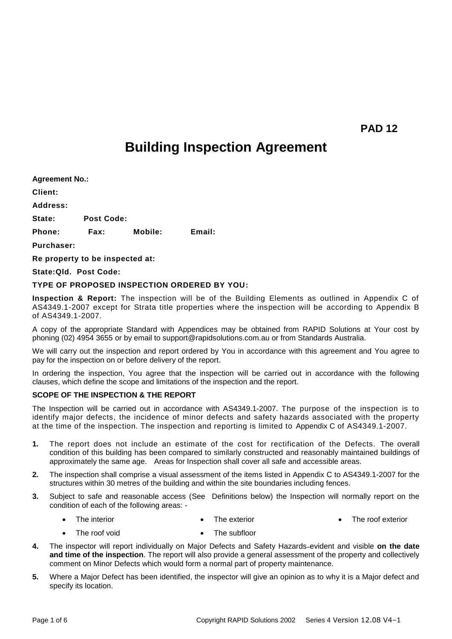**PAD 12**

# **Building Inspection Agreement**

**Agreement No.: Client: Address: State: Post Code: Phone: Fax: Mobile: Email: Purchaser:** 

**Re property to be inspected at:** 

# **State:Qld. Post Code:**

## **TYPE OF PROPOSED INSPECTION ORDERED BY YOU:**

**Inspection & Report:** The inspection will be of the Building Elements as outlined in Appendix C of AS4349.1-2007 except for Strata title properties where the inspection will be according to Appendix B of AS4349.1-2007.

A copy of the appropriate Standard with Appendices may be obtained from RAPID Solutions at Your cost by phoning (02) 4954 3655 or by email to support@rapidsolutions.com.au or from Standards Australia.

We will carry out the inspection and report ordered by You in accordance with this agreement and You agree to pay for the inspection on or before delivery of the report.

In ordering the inspection, You agree that the inspection will be carried out in accordance with the following clauses, which define the scope and limitations of the inspection and the report.

# **SCOPE OF THE INSPECTION & THE REPORT**

The Inspection will be carried out in accordance with AS4349.1-2007. The purpose of the inspection is to identify major defects, the incidence of minor defects and safety hazards associated with the property at the time of the inspection. The inspection and reporting is limited to Appendix C of AS4349.1-2007.

- **1.** The report does not include an estimate of the cost for rectification of the Defects. The overall condition of this building has been compared to similarly constructed and reasonably maintained buildings of approximately the same age. Areas for Inspection shall cover all safe and accessible areas.
- **2.** The inspection shall comprise a visual assessment of the items listed in Appendix C to AS4349.1-2007 for the structures within 30 metres of the building and within the site boundaries including fences.
- **3.** Subject to safe and reasonable access (See Definitions below) the Inspection will normally report on the condition of each of the following areas: -
	- The interior The exterior The roof exterior
	- The roof void • The subfloor
- **4.** The inspector will report individually on Major Defects and Safety Hazards evident and visible **on the date and time of the inspection**. The report will also provide a general assessment of the property and collectively comment on Minor Defects which would form a normal part of property maintenance.
- **5.** Where a Major Defect has been identified, the inspector will give an opinion as to why it is a Major defect and specify its location.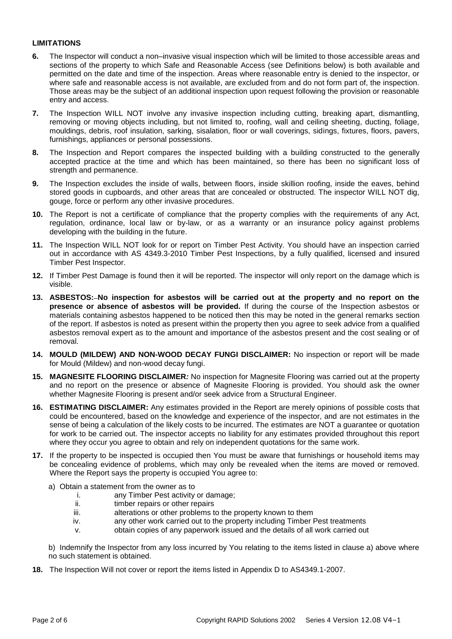# **LIMITATIONS**

- **6.** The Inspector will conduct a non–invasive visual inspection which will be limited to those accessible areas and sections of the property to which Safe and Reasonable Access (see Definitions below) is both available and permitted on the date and time of the inspection. Areas where reasonable entry is denied to the inspector, or where safe and reasonable access is not available, are excluded from and do not form part of, the inspection. Those areas may be the subject of an additional inspection upon request following the provision or reasonable entry and access.
- **7.** The Inspection WILL NOT involve any invasive inspection including cutting, breaking apart, dismantling, removing or moving objects including, but not limited to, roofing, wall and ceiling sheeting, ducting, foliage, mouldings, debris, roof insulation, sarking, sisalation, floor or wall coverings, sidings, fixtures, floors, pavers, furnishings, appliances or personal possessions.
- **8.** The Inspection and Report compares the inspected building with a building constructed to the generally accepted practice at the time and which has been maintained, so there has been no significant loss of strength and permanence.
- **9.** The Inspection excludes the inside of walls, between floors, inside skillion roofing, inside the eaves, behind stored goods in cupboards, and other areas that are concealed or obstructed. The inspector WILL NOT dig, gouge, force or perform any other invasive procedures.
- **10.** The Report is not a certificate of compliance that the property complies with the requirements of any Act, regulation, ordinance, local law or by-law, or as a warranty or an insurance policy against problems developing with the building in the future.
- **11.** The Inspection WILL NOT look for or report on Timber Pest Activity. You should have an inspection carried out in accordance with AS 4349.3-2010 Timber Pest Inspections, by a fully qualified, licensed and insured Timber Pest Inspector.
- **12.** If Timber Pest Damage is found then it will be reported. The inspector will only report on the damage which is visible.
- **13. ASBESTOS: No inspection for asbestos will be carried out at the property and no report on the presence or absence of asbestos will be provided.** If during the course of the Inspection asbestos or materials containing asbestos happened to be noticed then this may be noted in the general remarks section of the report. If asbestos is noted as present within the property then you agree to seek advice from a qualified asbestos removal expert as to the amount and importance of the asbestos present and the cost sealing or of removal.
- **14. MOULD (MILDEW) AND NON-WOOD DECAY FUNGI DISCLAIMER:** No inspection or report will be made for Mould (Mildew) and non-wood decay fungi.
- **15. MAGNESITE FLOORING DISCLAIMER***:* No inspection for Magnesite Flooring was carried out at the property and no report on the presence or absence of Magnesite Flooring is provided. You should ask the owner whether Magnesite Flooring is present and/or seek advice from a Structural Engineer.
- **16. ESTIMATING DISCLAIMER:** Any estimates provided in the Report are merely opinions of possible costs that could be encountered, based on the knowledge and experience of the inspector, and are not estimates in the sense of being a calculation of the likely costs to be incurred. The estimates are NOT a guarantee or quotation for work to be carried out. The inspector accepts no liability for any estimates provided throughout this report where they occur you agree to obtain and rely on independent quotations for the same work.
- **17.** If the property to be inspected is occupied then You must be aware that furnishings or household items may be concealing evidence of problems, which may only be revealed when the items are moved or removed. Where the Report says the property is occupied You agree to:
	- a) Obtain a statement from the owner as to
		- i. any Timber Pest activity or damage;
		- ii. timber repairs or other repairs
		- iii. alterations or other problems to the property known to them
		- iv. any other work carried out to the property including Timber Pest treatments
		- v. obtain copies of any paperwork issued and the details of all work carried out

b) Indemnify the Inspector from any loss incurred by You relating to the items listed in clause a) above where no such statement is obtained.

**18.** The Inspection Will not cover or report the items listed in Appendix D to AS4349.1-2007.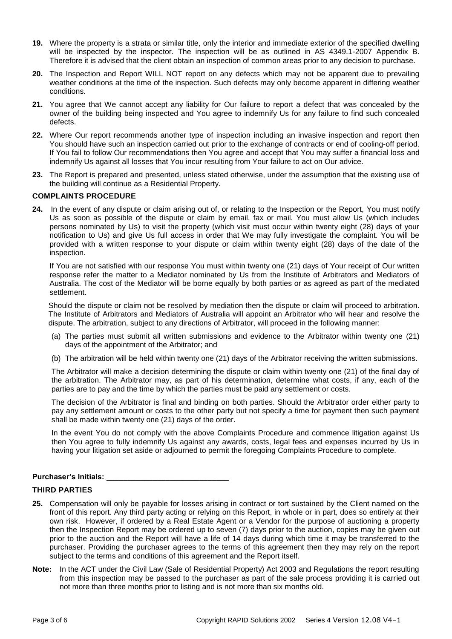- **19.** Where the property is a strata or similar title, only the interior and immediate exterior of the specified dwelling will be inspected by the inspector. The inspection will be as outlined in AS 4349.1-2007 Appendix B. Therefore it is advised that the client obtain an inspection of common areas prior to any decision to purchase.
- **20.** The Inspection and Report WILL NOT report on any defects which may not be apparent due to prevailing weather conditions at the time of the inspection. Such defects may only become apparent in differing weather conditions.
- **21.** You agree that We cannot accept any liability for Our failure to report a defect that was concealed by the owner of the building being inspected and You agree to indemnify Us for any failure to find such concealed defects.
- **22.** Where Our report recommends another type of inspection including an invasive inspection and report then You should have such an inspection carried out prior to the exchange of contracts or end of cooling-off period. If You fail to follow Our recommendations then You agree and accept that You may suffer a financial loss and indemnify Us against all losses that You incur resulting from Your failure to act on Our advice.
- **23.** The Report is prepared and presented, unless stated otherwise, under the assumption that the existing use of the building will continue as a Residential Property.

## **COMPLAINTS PROCEDURE**

**24.** In the event of any dispute or claim arising out of, or relating to the Inspection or the Report, You must notify Us as soon as possible of the dispute or claim by email, fax or mail. You must allow Us (which includes persons nominated by Us) to visit the property (which visit must occur within twenty eight (28) days of your notification to Us) and give Us full access in order that We may fully investigate the complaint. You will be provided with a written response to your dispute or claim within twenty eight (28) days of the date of the inspection.

If You are not satisfied with our response You must within twenty one (21) days of Your receipt of Our written response refer the matter to a Mediator nominated by Us from the Institute of Arbitrators and Mediators of Australia. The cost of the Mediator will be borne equally by both parties or as agreed as part of the mediated settlement.

Should the dispute or claim not be resolved by mediation then the dispute or claim will proceed to arbitration. The Institute of Arbitrators and Mediators of Australia will appoint an Arbitrator who will hear and resolve the dispute. The arbitration, subject to any directions of Arbitrator, will proceed in the following manner:

- (a) The parties must submit all written submissions and evidence to the Arbitrator within twenty one (21) days of the appointment of the Arbitrator; and
- (b) The arbitration will be held within twenty one (21) days of the Arbitrator receiving the written submissions.

The Arbitrator will make a decision determining the dispute or claim within twenty one (21) of the final day of the arbitration. The Arbitrator may, as part of his determination, determine what costs, if any, each of the parties are to pay and the time by which the parties must be paid any settlement or costs.

The decision of the Arbitrator is final and binding on both parties. Should the Arbitrator order either party to pay any settlement amount or costs to the other party but not specify a time for payment then such payment shall be made within twenty one (21) days of the order.

In the event You do not comply with the above Complaints Procedure and commence litigation against Us then You agree to fully indemnify Us against any awards, costs, legal fees and expenses incurred by Us in having your litigation set aside or adjourned to permit the foregoing Complaints Procedure to complete.

#### Purchaser's Initials:

#### **THIRD PARTIES**

- **25.** Compensation will only be payable for losses arising in contract or tort sustained by the Client named on the front of this report. Any third party acting or relying on this Report, in whole or in part, does so entirely at their own risk. However, if ordered by a Real Estate Agent or a Vendor for the purpose of auctioning a property then the Inspection Report may be ordered up to seven (7) days prior to the auction, copies may be given out prior to the auction and the Report will have a life of 14 days during which time it may be transferred to the purchaser. Providing the purchaser agrees to the terms of this agreement then they may rely on the report subject to the terms and conditions of this agreement and the Report itself.
- **Note:** In the ACT under the Civil Law (Sale of Residential Property) Act 2003 and Regulations the report resulting from this inspection may be passed to the purchaser as part of the sale process providing it is carried out not more than three months prior to listing and is not more than six months old.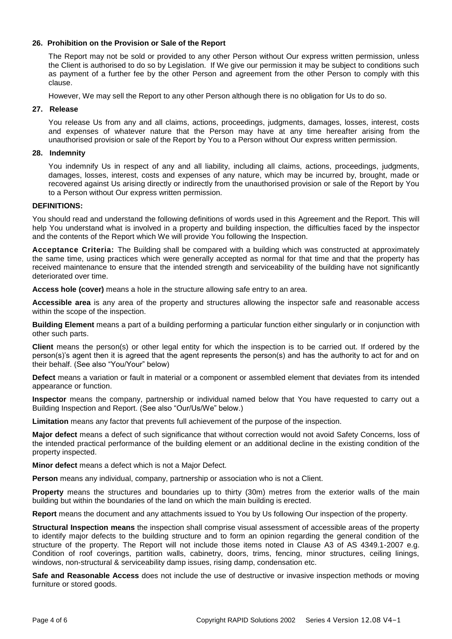# **26. Prohibition on the Provision or Sale of the Report**

The Report may not be sold or provided to any other Person without Our express written permission, unless the Client is authorised to do so by Legislation. If We give our permission it may be subject to conditions such as payment of a further fee by the other Person and agreement from the other Person to comply with this clause.

However, We may sell the Report to any other Person although there is no obligation for Us to do so.

#### **27. Release**

You release Us from any and all claims, actions, proceedings, judgments, damages, losses, interest, costs and expenses of whatever nature that the Person may have at any time hereafter arising from the unauthorised provision or sale of the Report by You to a Person without Our express written permission.

## **28. Indemnity**

You indemnify Us in respect of any and all liability, including all claims, actions, proceedings, judgments, damages, losses, interest, costs and expenses of any nature, which may be incurred by, brought, made or recovered against Us arising directly or indirectly from the unauthorised provision or sale of the Report by You to a Person without Our express written permission.

## **DEFINITIONS:**

You should read and understand the following definitions of words used in this Agreement and the Report. This will help You understand what is involved in a property and building inspection, the difficulties faced by the inspector and the contents of the Report which We will provide You following the Inspection.

**Acceptance Criteria:** The Building shall be compared with a building which was constructed at approximately the same time, using practices which were generally accepted as normal for that time and that the property has received maintenance to ensure that the intended strength and serviceability of the building have not significantly deteriorated over time.

**Access hole (cover)** means a hole in the structure allowing safe entry to an area.

**Accessible area** is any area of the property and structures allowing the inspector safe and reasonable access within the scope of the inspection.

**Building Element** means a part of a building performing a particular function either singularly or in conjunction with other such parts.

**Client** means the person(s) or other legal entity for which the inspection is to be carried out. If ordered by the person(s)'s agent then it is agreed that the agent represents the person(s) and has the authority to act for and on their behalf. (See also "You/Your" below)

**Defect** means a variation or fault in material or a component or assembled element that deviates from its intended appearance or function.

**Inspector** means the company, partnership or individual named below that You have requested to carry out a Building Inspection and Report. (See also "Our/Us/We" below.)

**Limitation** means any factor that prevents full achievement of the purpose of the inspection.

**Major defect** means a defect of such significance that without correction would not avoid Safety Concerns, loss of the intended practical performance of the building element or an additional decline in the existing condition of the property inspected.

**Minor defect** means a defect which is not a Major Defect.

**Person** means any individual, company, partnership or association who is not a Client*.*

**Property** means the structures and boundaries up to thirty (30m) metres from the exterior walls of the main building but within the boundaries of the land on which the main building is erected.

**Report** means the document and any attachments issued to You by Us following Our inspection of the property.

**Structural Inspection means** the inspection shall comprise visual assessment of accessible areas of the property to identify major defects to the building structure and to form an opinion regarding the general condition of the structure of the property. The Report will not include those items noted in Clause A3 of AS 4349.1-2007 e.g. Condition of roof coverings, partition walls, cabinetry, doors, trims, fencing, minor structures, ceiling linings, windows, non-structural & serviceability damp issues, rising damp, condensation etc.

**Safe and Reasonable Access** does not include the use of destructive or invasive inspection methods or moving furniture or stored goods.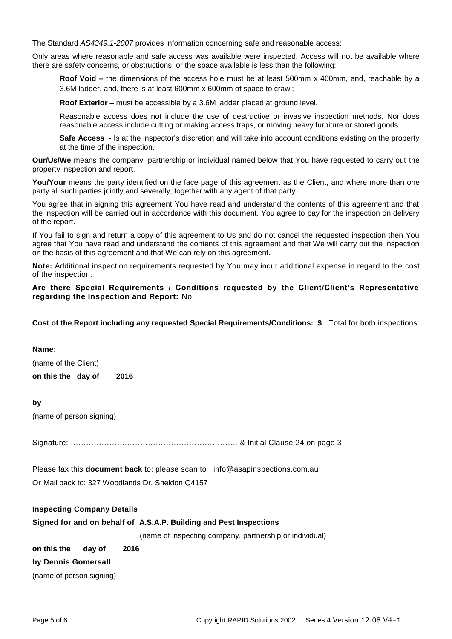The Standard *AS4349.1-2007* provides information concerning safe and reasonable access:

Only areas where reasonable and safe access was available were inspected. Access will not be available where there are safety concerns, or obstructions, or the space available is less than the following:

**Roof Void –** the dimensions of the access hole must be at least 500mm x 400mm, and, reachable by a 3.6M ladder, and, there is at least 600mm x 600mm of space to crawl;

**Roof Exterior –** must be accessible by a 3.6M ladder placed at ground level.

Reasonable access does not include the use of destructive or invasive inspection methods. Nor does reasonable access include cutting or making access traps, or moving heavy furniture or stored goods.

**Safe Access** - Is at the inspector's discretion and will take into account conditions existing on the property at the time of the inspection.

**Our/Us/We** means the company, partnership or individual named below that You have requested to carry out the property inspection and report.

You/Your means the party identified on the face page of this agreement as the Client, and where more than one party all such parties jointly and severally, together with any agent of that party.

You agree that in signing this agreement You have read and understand the contents of this agreement and that the inspection will be carried out in accordance with this document. You agree to pay for the inspection on delivery of the report.

If You fail to sign and return a copy of this agreement to Us and do not cancel the requested inspection then You agree that You have read and understand the contents of this agreement and that We will carry out the inspection on the basis of this agreement and that We can rely on this agreement.

**Note:** Additional inspection requirements requested by You may incur additional expense in regard to the cost of the inspection.

# **Are there Special Requirements / Conditions requested by the Client/Client's Representative regarding the Inspection and Report:** No

**Cost of the Report including any requested Special Requirements/Conditions: \$** Total for both inspections

## **Name:**

(name of the Client) **on this the day of 2016**

# **by**

(name of person signing)

Signature: ……………………………………………………….. & Initial Clause 24 on page 3

Please fax this **document back** to: please scan to info@asapinspections.com.au Or Mail back to: 327 Woodlands Dr. Sheldon Q4157

#### **Inspecting Company Details**

**Signed for and on behalf of A.S.A.P. Building and Pest Inspections** 

(name of inspecting company. partnership or individual)

**on this the day of 2016**

# **by Dennis Gomersall**

(name of person signing)